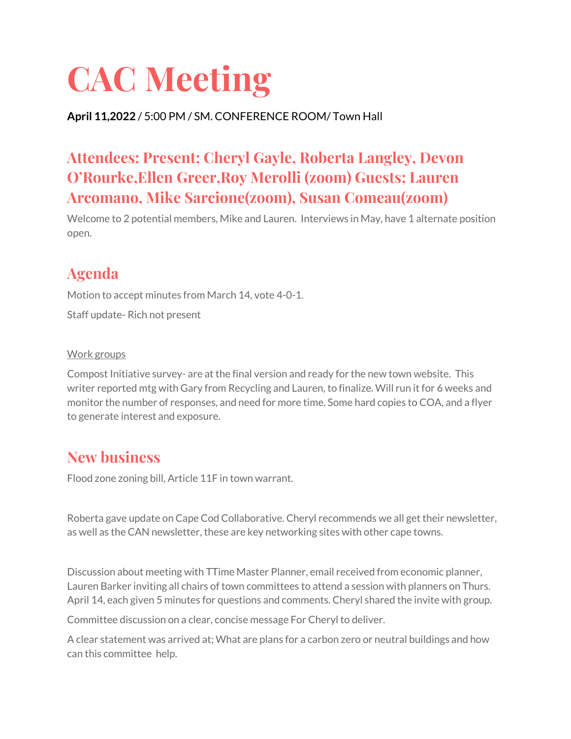# **CAC Meeting**

### **April 11,2022** / 5:00 PM / SM. CONFERENCE ROOM/ Town Hall

## **Attendees: Present; Cheryl Gayle, Roberta Langley, Devon O'Rourke,Ellen Greer,Roy Merolli (zoom) Guests; Lauren Arcomano, Mike Sarcione(zoom), Susan Comeau(zoom)**

Welcome to 2 potential members, Mike and Lauren. Interviews in May, have 1 alternate position open.

## **Agenda**

Motion to accept minutes from March 14, vote 4-0-1.

Staff update- Rich not present

#### Work groups

Compost Initiative survey- are at the final version and ready for the new town website. This writer reported mtg with Gary from Recycling and Lauren, to finalize. Will run it for 6 weeks and monitor the number of responses, and need for more time. Some hard copies to COA, and a flyer to generate interest and exposure.

## **New business**

Flood zone zoning bill, Article 11F in town warrant.

Roberta gave update on Cape Cod Collaborative. Cheryl recommends we all get their newsletter, as well as the CAN newsletter, these are key networking sites with other cape towns.

Discussion about meeting with TTime Master Planner, email received from economic planner, Lauren Barker inviting all chairs of town committees to attend a session with planners on Thurs. April 14, each given 5 minutes for questions and comments. Cheryl shared the invite with group.

Committee discussion on a clear, concise message For Cheryl to deliver.

A clear statement was arrived at; What are plans for a carbon zero or neutral buildings and how can this committee help.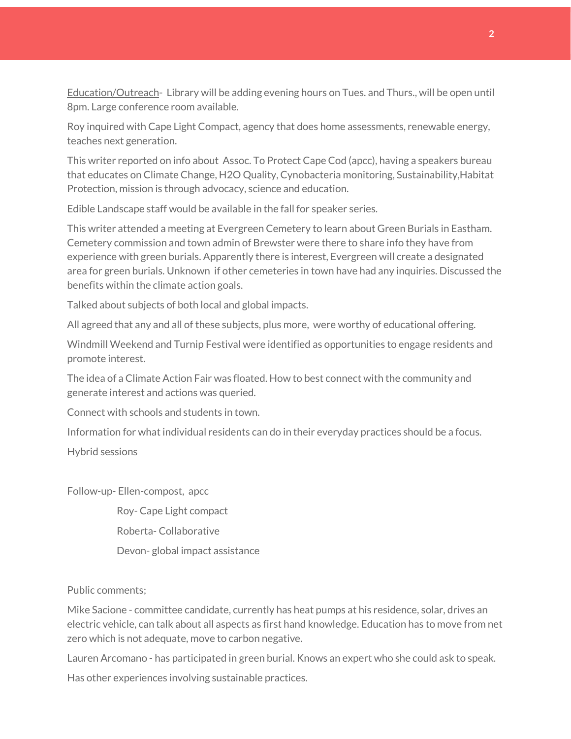Education/Outreach- Library will be adding evening hours on Tues. and Thurs., will be open until 8pm. Large conference room available.

Roy inquired with Cape Light Compact, agency that does home assessments, renewable energy, teaches next generation.

This writer reported on info about Assoc. To Protect Cape Cod (apcc), having a speakers bureau that educates on Climate Change, H2O Quality, Cynobacteria monitoring, Sustainability,Habitat Protection, mission is through advocacy, science and education.

Edible Landscape staff would be available in the fall for speaker series.

This writer attended a meeting at Evergreen Cemetery to learn about Green Burials in Eastham. Cemetery commission and town admin of Brewster were there to share info they have from experience with green burials. Apparently there is interest, Evergreen will create a designated area for green burials. Unknown if other cemeteries in town have had any inquiries. Discussed the benefits within the climate action goals.

Talked about subjects of both local and global impacts.

All agreed that any and all of these subjects, plus more, were worthy of educational offering.

Windmill Weekend and Turnip Festival were identified as opportunities to engage residents and promote interest.

The idea of a Climate Action Fair was floated. How to best connect with the community and generate interest and actions was queried.

Connect with schools and students in town.

Information for what individual residents can do in their everyday practices should be a focus.

Hybrid sessions

Follow-up- Ellen-compost, apcc

Roy- Cape Light compact

Roberta- Collaborative

Devon- global impact assistance

#### Public comments;

Mike Sacione - committee candidate, currently has heat pumps at his residence, solar, drives an electric vehicle, can talk about all aspects as first hand knowledge. Education has to move from net zero which is not adequate, move to carbon negative.

Lauren Arcomano - has participated in green burial. Knows an expert who she could ask to speak.

Has other experiences involving sustainable practices.